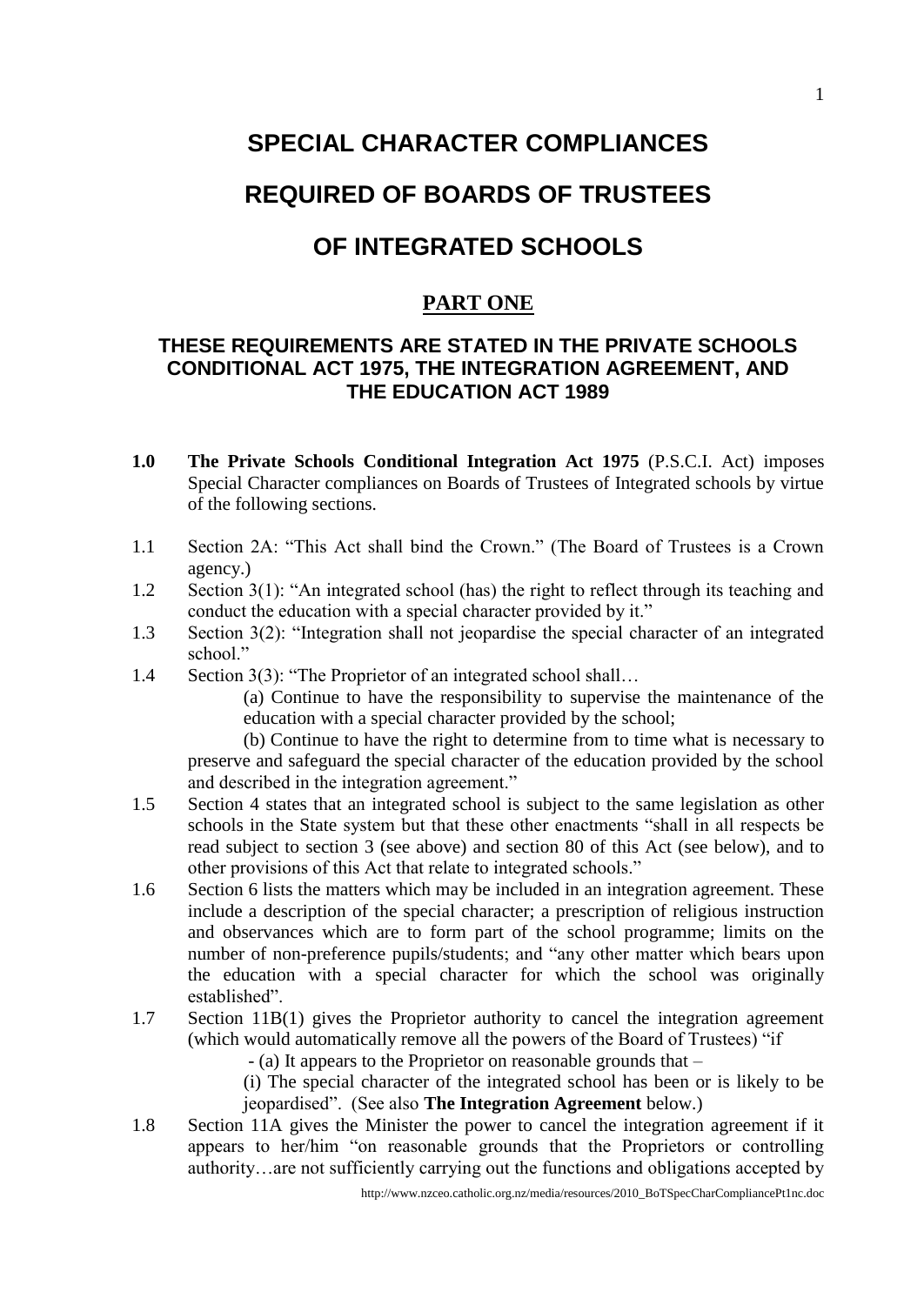# **SPECIAL CHARACTER COMPLIANCES**

## **REQUIRED OF BOARDS OF TRUSTEES**

## **OF INTEGRATED SCHOOLS**

### **PART ONE**

### **THESE REQUIREMENTS ARE STATED IN THE PRIVATE SCHOOLS CONDITIONAL ACT 1975, THE INTEGRATION AGREEMENT, AND THE EDUCATION ACT 1989**

- **1.0 The Private Schools Conditional Integration Act 1975** (P.S.C.I. Act) imposes Special Character compliances on Boards of Trustees of Integrated schools by virtue of the following sections.
- 1.1 Section 2A: "This Act shall bind the Crown." (The Board of Trustees is a Crown agency.)
- 1.2 Section 3(1): "An integrated school (has) the right to reflect through its teaching and conduct the education with a special character provided by it."
- 1.3 Section 3(2): "Integration shall not jeopardise the special character of an integrated school."
- 1.4 Section 3(3): "The Proprietor of an integrated school shall…

(a) Continue to have the responsibility to supervise the maintenance of the education with a special character provided by the school;

(b) Continue to have the right to determine from to time what is necessary to preserve and safeguard the special character of the education provided by the school and described in the integration agreement."

- 1.5 Section 4 states that an integrated school is subject to the same legislation as other schools in the State system but that these other enactments "shall in all respects be read subject to section 3 (see above) and section 80 of this Act (see below), and to other provisions of this Act that relate to integrated schools."
- 1.6 Section 6 lists the matters which may be included in an integration agreement. These include a description of the special character; a prescription of religious instruction and observances which are to form part of the school programme; limits on the number of non-preference pupils/students; and "any other matter which bears upon the education with a special character for which the school was originally established".
- 1.7 Section 11B(1) gives the Proprietor authority to cancel the integration agreement (which would automatically remove all the powers of the Board of Trustees) "if

- (a) It appears to the Proprietor on reasonable grounds that –

(i) The special character of the integrated school has been or is likely to be jeopardised". (See also **The Integration Agreement** below.)

1.8 Section 11A gives the Minister the power to cancel the integration agreement if it appears to her/him "on reasonable grounds that the Proprietors or controlling authority…are not sufficiently carrying out the functions and obligations accepted by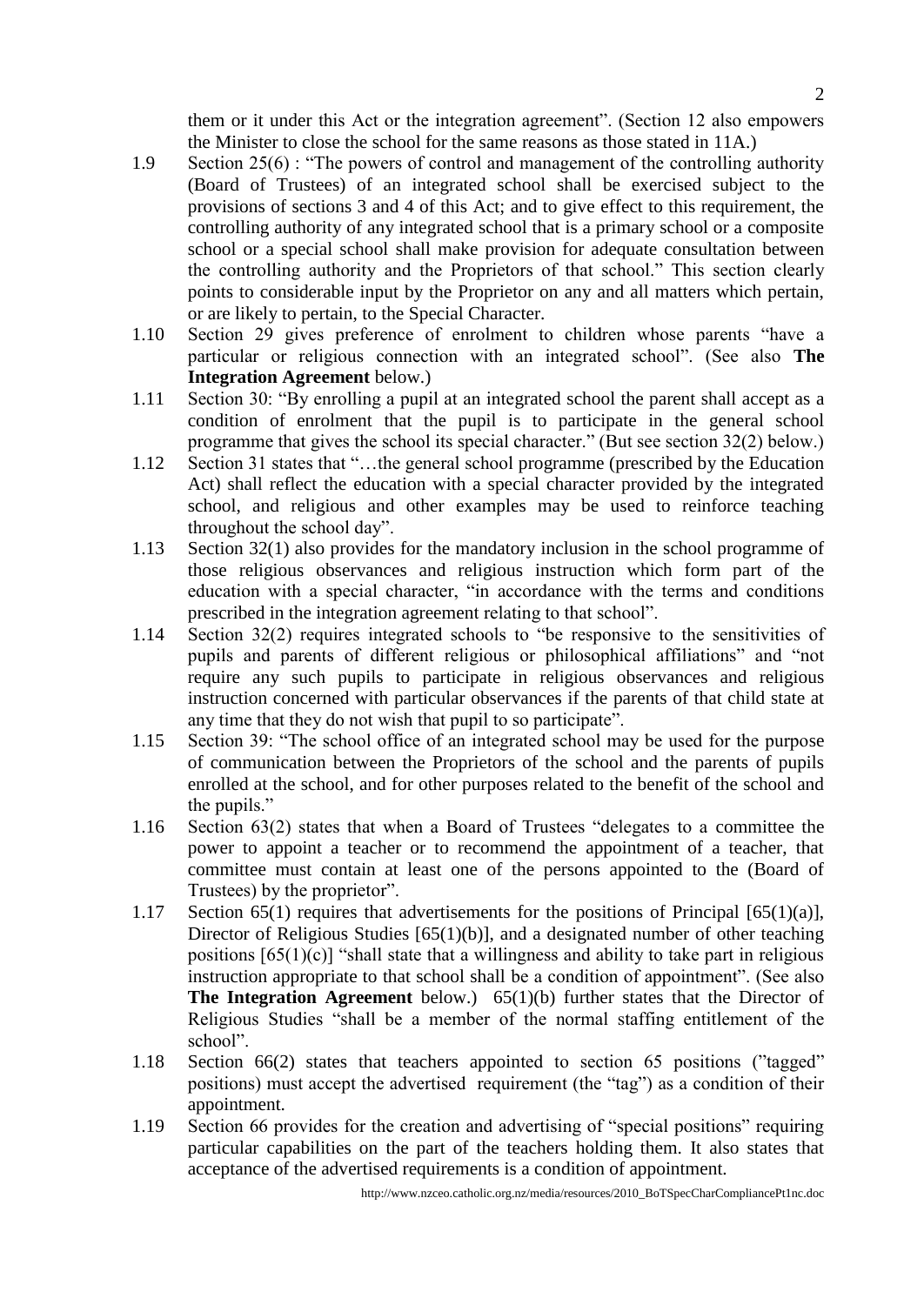them or it under this Act or the integration agreement". (Section 12 also empowers the Minister to close the school for the same reasons as those stated in 11A.)

- 1.9 Section 25(6) : "The powers of control and management of the controlling authority (Board of Trustees) of an integrated school shall be exercised subject to the provisions of sections 3 and 4 of this Act; and to give effect to this requirement, the controlling authority of any integrated school that is a primary school or a composite school or a special school shall make provision for adequate consultation between the controlling authority and the Proprietors of that school." This section clearly points to considerable input by the Proprietor on any and all matters which pertain, or are likely to pertain, to the Special Character.
- 1.10 Section 29 gives preference of enrolment to children whose parents "have a particular or religious connection with an integrated school". (See also **The Integration Agreement** below.)
- 1.11 Section 30: "By enrolling a pupil at an integrated school the parent shall accept as a condition of enrolment that the pupil is to participate in the general school programme that gives the school its special character." (But see section 32(2) below.)
- 1.12 Section 31 states that "...the general school programme (prescribed by the Education Act) shall reflect the education with a special character provided by the integrated school, and religious and other examples may be used to reinforce teaching throughout the school day".
- 1.13 Section 32(1) also provides for the mandatory inclusion in the school programme of those religious observances and religious instruction which form part of the education with a special character, "in accordance with the terms and conditions prescribed in the integration agreement relating to that school".
- 1.14 Section 32(2) requires integrated schools to "be responsive to the sensitivities of pupils and parents of different religious or philosophical affiliations" and "not require any such pupils to participate in religious observances and religious instruction concerned with particular observances if the parents of that child state at any time that they do not wish that pupil to so participate".
- 1.15 Section 39: "The school office of an integrated school may be used for the purpose of communication between the Proprietors of the school and the parents of pupils enrolled at the school, and for other purposes related to the benefit of the school and the pupils."
- 1.16 Section 63(2) states that when a Board of Trustees "delegates to a committee the power to appoint a teacher or to recommend the appointment of a teacher, that committee must contain at least one of the persons appointed to the (Board of Trustees) by the proprietor".
- 1.17 Section 65(1) requires that advertisements for the positions of Principal  $[65(1)(a)]$ , Director of Religious Studies [65(1)(b)], and a designated number of other teaching positions  $[65(1)(c)]$  "shall state that a willingness and ability to take part in religious instruction appropriate to that school shall be a condition of appointment". (See also **The Integration Agreement** below.) 65(1)(b) further states that the Director of Religious Studies "shall be a member of the normal staffing entitlement of the school".
- 1.18 Section 66(2) states that teachers appointed to section 65 positions ("tagged" positions) must accept the advertised requirement (the "tag") as a condition of their appointment.
- 1.19 Section 66 provides for the creation and advertising of "special positions" requiring particular capabilities on the part of the teachers holding them. It also states that acceptance of the advertised requirements is a condition of appointment.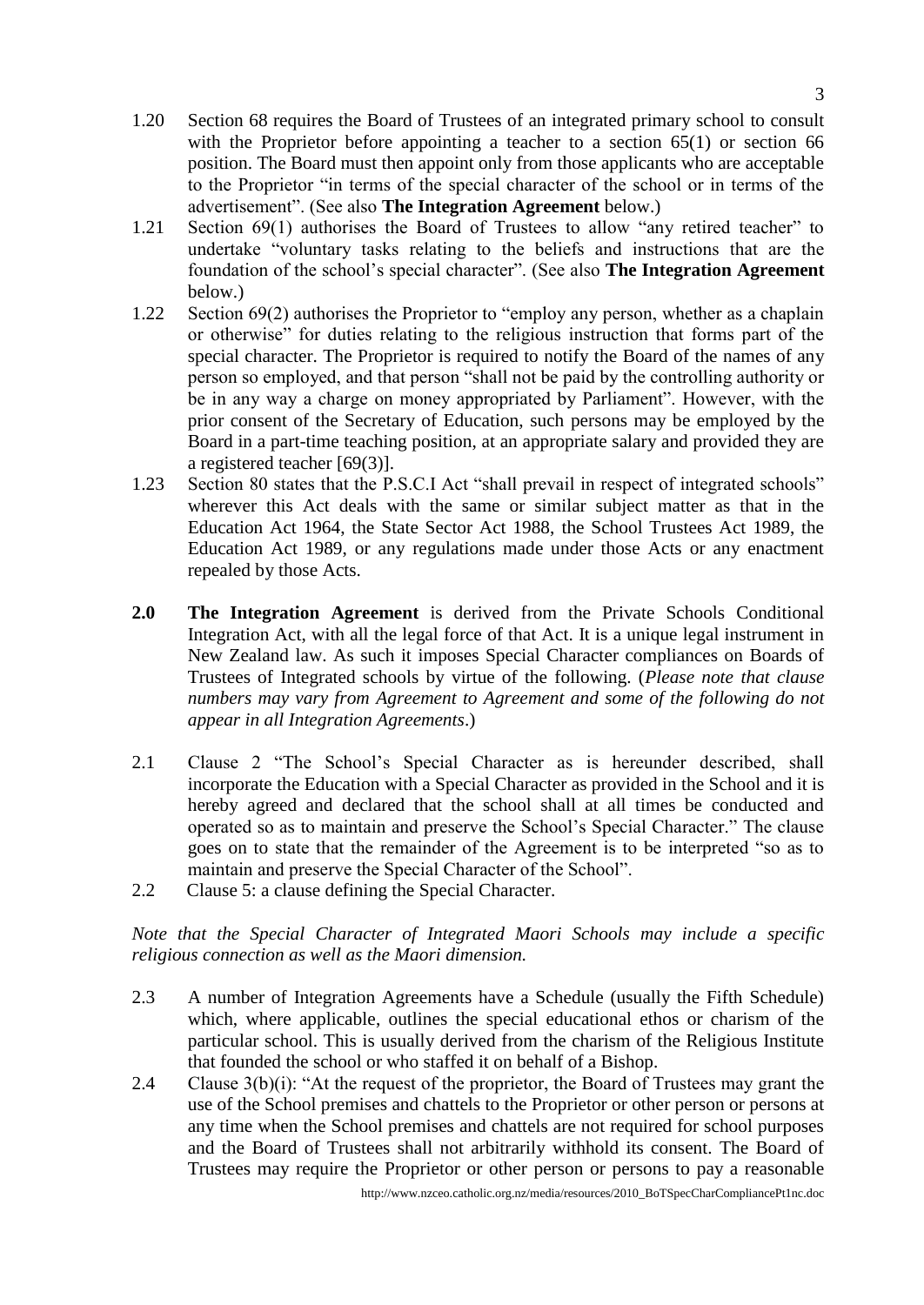- 1.20 Section 68 requires the Board of Trustees of an integrated primary school to consult with the Proprietor before appointing a teacher to a section 65(1) or section 66 position. The Board must then appoint only from those applicants who are acceptable to the Proprietor "in terms of the special character of the school or in terms of the advertisement". (See also **The Integration Agreement** below.)
- 1.21 Section 69(1) authorises the Board of Trustees to allow "any retired teacher" to undertake "voluntary tasks relating to the beliefs and instructions that are the foundation of the school's special character". (See also **The Integration Agreement** below.)
- 1.22 Section 69(2) authorises the Proprietor to "employ any person, whether as a chaplain or otherwise" for duties relating to the religious instruction that forms part of the special character. The Proprietor is required to notify the Board of the names of any person so employed, and that person "shall not be paid by the controlling authority or be in any way a charge on money appropriated by Parliament". However, with the prior consent of the Secretary of Education, such persons may be employed by the Board in a part-time teaching position, at an appropriate salary and provided they are a registered teacher [69(3)].
- 1.23 Section 80 states that the P.S.C.I Act "shall prevail in respect of integrated schools" wherever this Act deals with the same or similar subject matter as that in the Education Act 1964, the State Sector Act 1988, the School Trustees Act 1989, the Education Act 1989, or any regulations made under those Acts or any enactment repealed by those Acts.
- **2.0 The Integration Agreement** is derived from the Private Schools Conditional Integration Act, with all the legal force of that Act. It is a unique legal instrument in New Zealand law. As such it imposes Special Character compliances on Boards of Trustees of Integrated schools by virtue of the following. (*Please note that clause numbers may vary from Agreement to Agreement and some of the following do not appear in all Integration Agreements*.)
- 2.1 Clause 2 "The School's Special Character as is hereunder described, shall incorporate the Education with a Special Character as provided in the School and it is hereby agreed and declared that the school shall at all times be conducted and operated so as to maintain and preserve the School's Special Character." The clause goes on to state that the remainder of the Agreement is to be interpreted "so as to maintain and preserve the Special Character of the School".
- 2.2 Clause 5: a clause defining the Special Character.

#### *Note that the Special Character of Integrated Maori Schools may include a specific religious connection as well as the Maori dimension.*

- 2.3 A number of Integration Agreements have a Schedule (usually the Fifth Schedule) which, where applicable, outlines the special educational ethos or charism of the particular school. This is usually derived from the charism of the Religious Institute that founded the school or who staffed it on behalf of a Bishop.
- 2.4 Clause  $3(b)(i)$ : "At the request of the proprietor, the Board of Trustees may grant the use of the School premises and chattels to the Proprietor or other person or persons at any time when the School premises and chattels are not required for school purposes and the Board of Trustees shall not arbitrarily withhold its consent. The Board of Trustees may require the Proprietor or other person or persons to pay a reasonable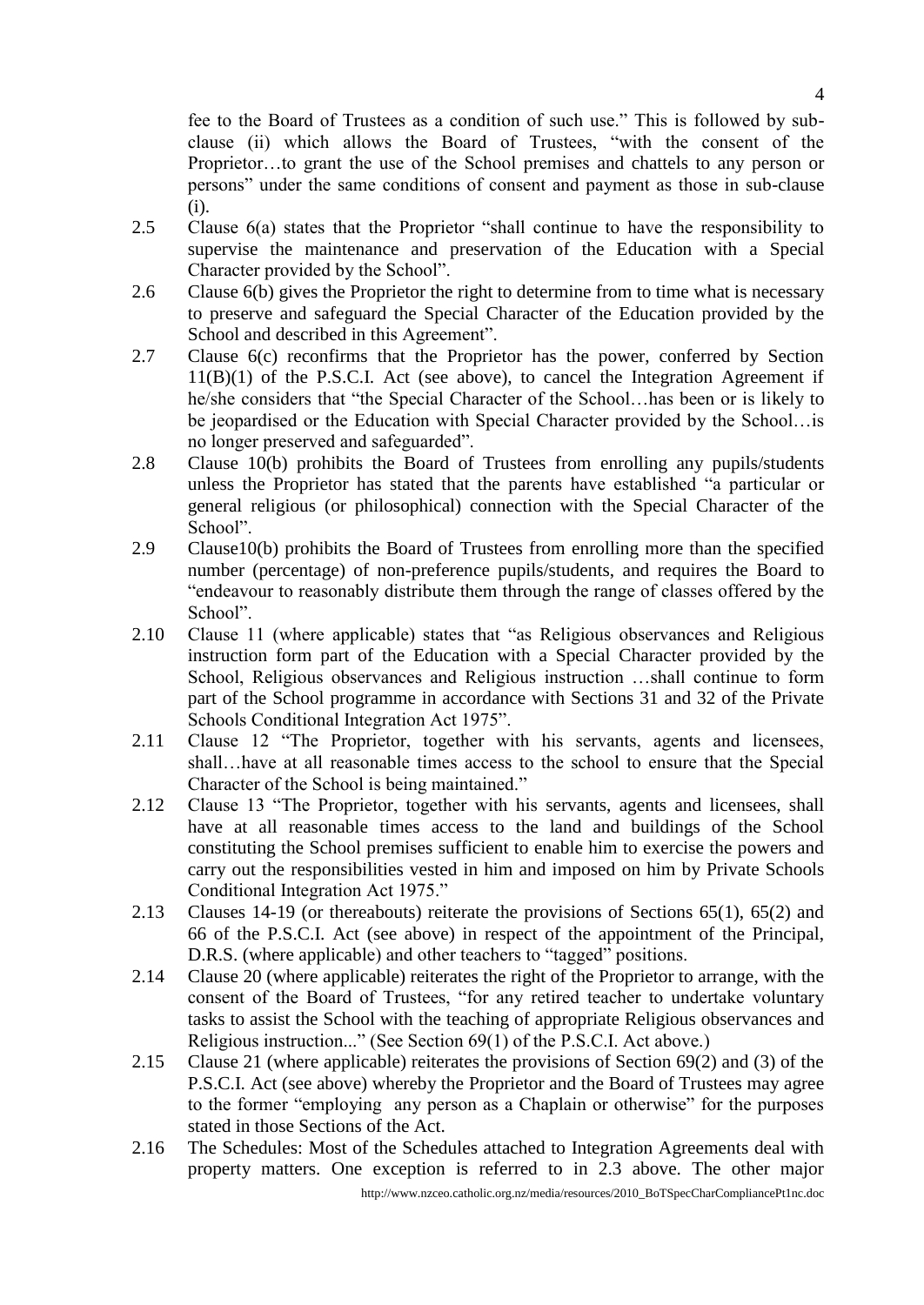fee to the Board of Trustees as a condition of such use." This is followed by subclause (ii) which allows the Board of Trustees, "with the consent of the Proprietor…to grant the use of the School premises and chattels to any person or persons" under the same conditions of consent and payment as those in sub-clause (i).

- 2.5 Clause 6(a) states that the Proprietor "shall continue to have the responsibility to supervise the maintenance and preservation of the Education with a Special Character provided by the School".
- 2.6 Clause 6(b) gives the Proprietor the right to determine from to time what is necessary to preserve and safeguard the Special Character of the Education provided by the School and described in this Agreement".
- 2.7 Clause 6(c) reconfirms that the Proprietor has the power, conferred by Section 11(B)(1) of the P.S.C.I. Act (see above), to cancel the Integration Agreement if he/she considers that "the Special Character of the School…has been or is likely to be jeopardised or the Education with Special Character provided by the School…is no longer preserved and safeguarded".
- 2.8 Clause 10(b) prohibits the Board of Trustees from enrolling any pupils/students unless the Proprietor has stated that the parents have established "a particular or general religious (or philosophical) connection with the Special Character of the School".
- 2.9 Clause10(b) prohibits the Board of Trustees from enrolling more than the specified number (percentage) of non-preference pupils/students, and requires the Board to "endeavour to reasonably distribute them through the range of classes offered by the School".
- 2.10 Clause 11 (where applicable) states that "as Religious observances and Religious instruction form part of the Education with a Special Character provided by the School, Religious observances and Religious instruction …shall continue to form part of the School programme in accordance with Sections 31 and 32 of the Private Schools Conditional Integration Act 1975".
- 2.11 Clause 12 "The Proprietor, together with his servants, agents and licensees, shall…have at all reasonable times access to the school to ensure that the Special Character of the School is being maintained."
- 2.12 Clause 13 "The Proprietor, together with his servants, agents and licensees, shall have at all reasonable times access to the land and buildings of the School constituting the School premises sufficient to enable him to exercise the powers and carry out the responsibilities vested in him and imposed on him by Private Schools Conditional Integration Act 1975."
- 2.13 Clauses 14-19 (or thereabouts) reiterate the provisions of Sections 65(1), 65(2) and 66 of the P.S.C.I. Act (see above) in respect of the appointment of the Principal, D.R.S. (where applicable) and other teachers to "tagged" positions.
- 2.14 Clause 20 (where applicable) reiterates the right of the Proprietor to arrange, with the consent of the Board of Trustees, "for any retired teacher to undertake voluntary tasks to assist the School with the teaching of appropriate Religious observances and Religious instruction..." (See Section 69(1) of the P.S.C.I. Act above.)
- 2.15 Clause 21 (where applicable) reiterates the provisions of Section 69(2) and (3) of the P.S.C.I. Act (see above) whereby the Proprietor and the Board of Trustees may agree to the former "employing any person as a Chaplain or otherwise" for the purposes stated in those Sections of the Act.
- 2.16 The Schedules: Most of the Schedules attached to Integration Agreements deal with property matters. One exception is referred to in 2.3 above. The other major